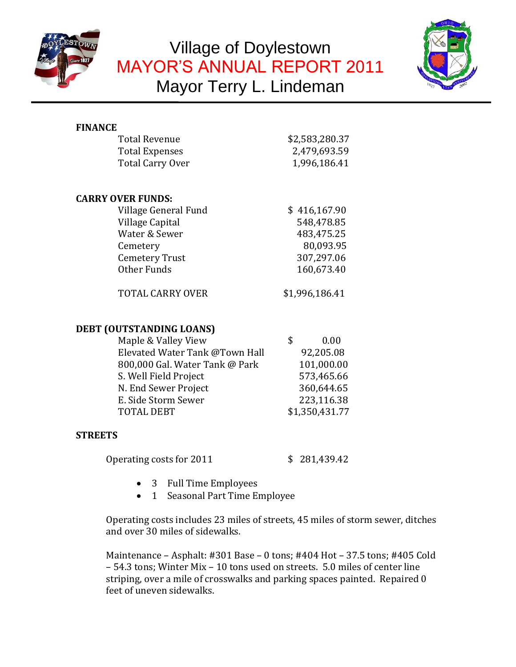

# Village of Doylestown MAYOR'S ANNUAL REPORT 2011 Mayor Terry L. Lindeman



## **FINANCE**

| Total Revenue    | \$2,583,280.37 |  |
|------------------|----------------|--|
| Total Expenses   | 2,479,693.59   |  |
| Total Carry Over | 1,996,186.41   |  |

## **CARRY OVER FUNDS:**

| Village General Fund    | \$416,167.90   |
|-------------------------|----------------|
| Village Capital         | 548,478.85     |
| Water & Sewer           | 483,475.25     |
| Cemetery                | 80,093.95      |
| <b>Cemetery Trust</b>   | 307,297.06     |
| Other Funds             | 160,673.40     |
|                         |                |
| <b>TOTAL CARRY OVER</b> | \$1,996,186.41 |

## **DEBT (OUTSTANDING LOANS)**

| Maple & Valley View            | \$. | 0.00           |
|--------------------------------|-----|----------------|
| Elevated Water Tank @Town Hall |     | 92,205.08      |
| 800,000 Gal. Water Tank @ Park |     | 101,000.00     |
| S. Well Field Project          |     | 573,465.66     |
| N. End Sewer Project           |     | 360,644.65     |
| E. Side Storm Sewer            |     | 223,116.38     |
| <b>TOTAL DEBT</b>              |     | \$1,350,431.77 |

## **STREETS**

Operating costs for 2011 \$ 281,439.42

- 
- 3 Full Time Employees
- 1 Seasonal Part Time Employee

Operating costs includes 23 miles of streets, 45 miles of storm sewer, ditches and over 30 miles of sidewalks.

Maintenance – Asphalt: #301 Base – 0 tons; #404 Hot – 37.5 tons; #405 Cold – 54.3 tons; Winter Mix – 10 tons used on streets. 5.0 miles of center line striping, over a mile of crosswalks and parking spaces painted. Repaired 0 feet of uneven sidewalks.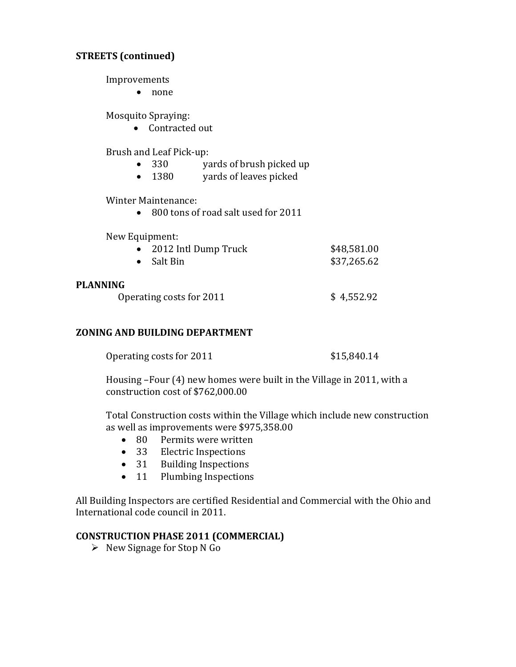## **STREETS (continued)**

Improvements

• none

Mosquito Spraying:

Contracted out

Brush and Leaf Pick-up:

- 330 yards of brush picked up
- 1380 vards of leaves picked

Winter Maintenance:

• 800 tons of road salt used for 2011

New Equipment:

| 2012 Intl Dump Truck | \$48,581.00 |
|----------------------|-------------|
| • Salt Bin           | \$37,265.62 |

#### **PLANNING**

Operating costs for  $2011$   $$4,552.92$ 

#### **ZONING AND BUILDING DEPARTMENT**

| Operating costs for 2011 | \$15,840.14 |
|--------------------------|-------------|
|--------------------------|-------------|

Housing –Four (4) new homes were built in the Village in 2011, with a construction cost of \$762,000.00

Total Construction costs within the Village which include new construction as well as improvements were \$975,358.00

- 80 Permits were written
- 33 Electric Inspections
- 31 Building Inspections
- 11 Plumbing Inspections

All Building Inspectors are certified Residential and Commercial with the Ohio and International code council in 2011.

## **CONSTRUCTION PHASE 2011 (COMMERCIAL)**

 $\triangleright$  New Signage for Stop N Go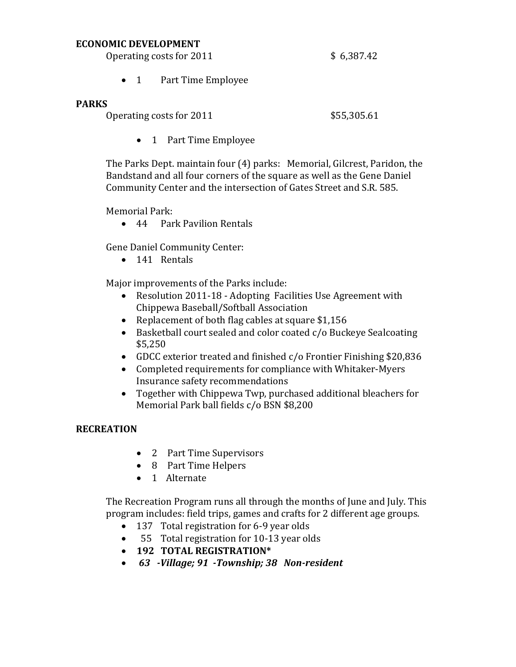#### **ECONOMIC DEVELOPMENT**

Operating costs for  $2011$  \$ 6,387.42

- - 1 Part Time Employee

## **PARKS**

Operating costs for 2011 \$55,305.61

• 1 Part Time Employee

The Parks Dept. maintain four (4) parks: Memorial, Gilcrest, Paridon, the Bandstand and all four corners of the square as well as the Gene Daniel Community Center and the intersection of Gates Street and S.R. 585.

Memorial Park:

• 44 Park Pavilion Rentals

Gene Daniel Community Center:

• 141 Rentals

Major improvements of the Parks include:

- Resolution 2011-18 Adopting Facilities Use Agreement with Chippewa Baseball/Softball Association
- Replacement of both flag cables at square \$1,156
- Basketball court sealed and color coated c/o Buckeye Sealcoating \$5,250
- GDCC exterior treated and finished c/o Frontier Finishing \$20,836
- Completed requirements for compliance with Whitaker-Myers Insurance safety recommendations
- Together with Chippewa Twp, purchased additional bleachers for Memorial Park ball fields c/o BSN \$8,200

## **RECREATION**

- 2 Part Time Supervisors
- 8 Part Time Helpers
- 1 Alternate

The Recreation Program runs all through the months of June and July. This program includes: field trips, games and crafts for 2 different age groups.

- 137 Total registration for 6-9 year olds
- 55 Total registration for 10-13 year olds
- **192 TOTAL REGISTRATION\***
- *63 -Village; 91 -Township; 38 Non-resident*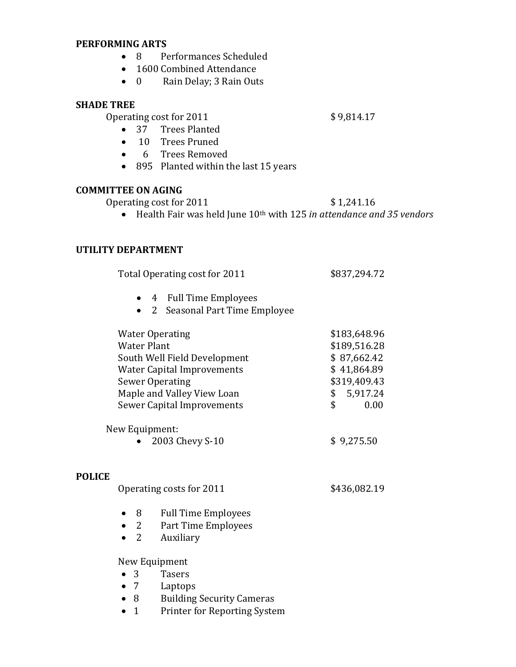#### **PERFORMING ARTS**

- 8 Performances Scheduled
- 1600 Combined Attendance
- 0 Rain Delay; 3 Rain Outs

#### **SHADE TREE**

 $$9,814.17$ 

- 37 Trees Planted
- 10 Trees Pruned
- 6 Trees Removed
- 895 Planted within the last 15 years

#### **COMMITTEE ON AGING**

Operating cost for 2011 \$1,241.16

Health Fair was held June 10th with 125 *in attendance and 35 vendors*

#### **UTILITY DEPARTMENT**

Total Operating cost for 2011 \$837,294.72

- 4 Full Time Employees
- 2 Seasonal Part Time Employee

| \$189,516.28                                                 |
|--------------------------------------------------------------|
| \$87,662.42                                                  |
| \$41,864.89                                                  |
| \$319,409.43                                                 |
| 5,917.24<br>\$                                               |
| 0.00<br>\$                                                   |
| $\uparrow$ $\land$ $\land$ $\lnot$ $\vdash$ $\vdash$ $\land$ |
|                                                              |

• 2003 Chevy S-10  $$9,275.50$ 

#### **POLICE**

| Operating costs for 2011 | \$436,082.19 |
|--------------------------|--------------|
|--------------------------|--------------|

- 8 Full Time Employees
- 2 Part Time Employees
- 2 Auxiliary

New Equipment

- 3 Tasers
- 7 Laptops
- 8 Building Security Cameras
- 1 Printer for Reporting System